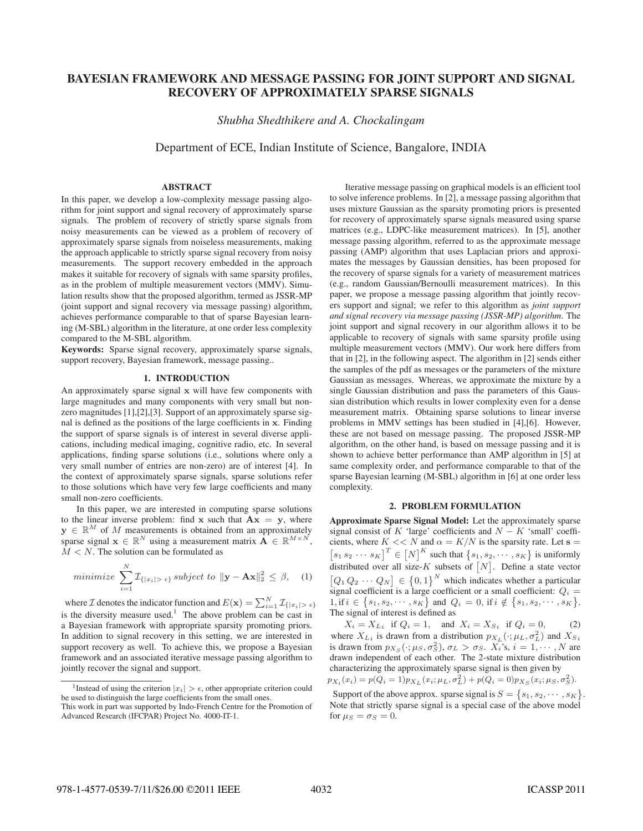# BAYESIAN FRAMEWORK AND MESSAGE PASSING FOR JOINT SUPPORT AND SIGNAL RECOVERY OF APPROXIMATELY SPARSE SIGNALS

*Shubha Shedthikere and A. Chockalingam*

Department of ECE, Indian Institute of Science, Bangalore, INDIA

### ABSTRACT

In this paper, we develop a low-complexity message passing algorithm for joint support and signal recovery of approximately sparse signals. The problem of recovery of strictly sparse signals from noisy measurements can be viewed as a problem of recovery of approximately sparse signals from noiseless measurements, making the approach applicable to strictly sparse signal recovery from noisy measurements. The support recovery embedded in the approach makes it suitable for recovery of signals with same sparsity profiles, as in the problem of multiple measurement vectors (MMV). Simulation results show that the proposed algorithm, termed as JSSR-MP (joint support and signal recovery via message passing) algorithm, achieves performance comparable to that of sparse Bayesian learning (M-SBL) algorithm in the literature, at one order less complexity compared to the M-SBL algorithm.

Keywords: Sparse signal recovery, approximately sparse signals, support recovery, Bayesian framework, message passing..

#### 1. INTRODUCTION

An approximately sparse signal **x** will have few components with large magnitudes and many components with very small but nonzero magnitudes [1],[2],[3]. Support of an approximately sparse signal is defined as the positions of the large coefficients in **x**. Finding the support of sparse signals is of interest in several diverse applications, including medical imaging, cognitive radio, etc. In several applications, finding sparse solutions (i.e., solutions where only a very small number of entries are non-zero) are of interest [4]. In the context of approximately sparse signals, sparse solutions refer to those solutions which have very few large coefficients and many small non-zero coefficients.

In this paper, we are interested in computing sparse solutions to the linear inverse problem: find  $x$  such that  $Ax = y$ , where  $y \in \mathbb{R}^M$  of M measurements is obtained from an approximately sparse signal  $\mathbf{x} \in \mathbb{R}^N$  using a measurement matrix  $\mathbf{A} \in \mathbb{R}^{M \times N}$  $M < N$ . The solution can be formulated as

$$
minimize \sum_{i=1}^{N} \mathcal{I}_{\{|x_i| > \epsilon\}} subject to \|\mathbf{y} - \mathbf{A}\mathbf{x}\|_2^2 \leq \beta, \quad (1)
$$

where *I* denotes the indicator function and  $E(\mathbf{x}) = \sum_{i=1}^{N} \mathcal{I}_{\{|x_i| > \epsilon\}}$ is the diversity measure used.<sup>1</sup> The above problem can be cast in a Bayesian framework with appropriate sparsity promoting priors. In addition to signal recovery in this setting, we are interested in support recovery as well. To achieve this, we propose a Bayesian framework and an associated iterative message passing algorithm to jointly recover the signal and support.

Iterative message passing on graphical models is an efficient tool to solve inference problems. In [2], a message passing algorithm that uses mixture Gaussian as the sparsity promoting priors is presented for recovery of approximately sparse signals measured using sparse matrices (e.g., LDPC-like measurement matrices). In [5], another message passing algorithm, referred to as the approximate message passing (AMP) algorithm that uses Laplacian priors and approximates the messages by Gaussian densities, has been proposed for the recovery of sparse signals for a variety of measurement matrices (e.g., random Gaussian/Bernoulli measurement matrices). In this paper, we propose a message passing algorithm that jointly recovers support and signal; we refer to this algorithm as *joint support and signal recovery via message passing (JSSR-MP) algorithm*. The joint support and signal recovery in our algorithm allows it to be applicable to recovery of signals with same sparsity profile using multiple measurement vectors (MMV). Our work here differs from that in [2], in the following aspect. The algorithm in [2] sends either the samples of the pdf as messages or the parameters of the mixture Gaussian as messages. Whereas, we approximate the mixture by a single Gaussian distribution and pass the parameters of this Gaussian distribution which results in lower complexity even for a dense measurement matrix. Obtaining sparse solutions to linear inverse problems in MMV settings has been studied in [4],[6]. However, these are not based on message passing. The proposed JSSR-MP algorithm, on the other hand, is based on message passing and it is shown to achieve better performance than AMP algorithm in [5] at same complexity order, and performance comparable to that of the sparse Bayesian learning (M-SBL) algorithm in [6] at one order less complexity.

#### 2. PROBLEM FORMULATION

Approximate Sparse Signal Model: Let the approximately sparse signal consist of K 'large' coefficients and  $N - K$  'small' coefficients, where  $K \ll N$  and  $\alpha = K/N$  is the sparsity rate. Let  $s =$ cients, where  $K \ll N$  and  $\alpha = K/N$  is the sparsity rate. Let  $\mathbf{s} = [s_1 s_2 \cdots s_K]^T \in [N]^K$  such that  $\{s_1, s_2, \cdots, s_K\}$  is uniformly distributed over all size- $K$  subsets of  $[N]$ . Define a state vector  $[Q_1 Q_2 \cdots Q_N] \in {0,1}^N$  which indicates whether a particular<br>signal coefficient is a large coefficient or a small coefficient:  $Q_1$ signal coefficient is a large coefficient or a small coefficient:  $Q_i =$ <br>1 if  $i \in \{s_1, s_2, \dots, s_K\}$  and  $Q_i = 0$  if  $i \notin \{s_1, s_2, \dots, s_K\}$ 1, if  $i \in \{s_1, s_2, \dots, s_K\}$  and  $Q_i = 0$ , if  $i \notin \{s_1, s_2, \dots, s_K\}$ .<br>The signal of interest is defined as The signal of interest is defined as

 $X_i = X_{i}$  if  $Q_i = 1$ , and  $X_i = X_{i}$  if  $Q_i = 0$ , (2) where  $X_{L,i}$  is drawn from a distribution  $p_{X_L}(\cdot; \mu_L, \sigma_L^2)$  and  $X_{S,i}$ <br>is drawn from  $p_X(\cdot; \mu_S, \sigma_S^2)$   $\sigma_L > \sigma_S$   $X_i$ 's  $i = 1, \dots, N$  are is drawn from  $p_{X_S}(\cdot; \mu_S, \sigma_S^2)$ ,  $\sigma_L > \sigma_S$ .  $\overline{X_i}$ 's,  $i = 1, \dots, N$  are drawn independent of each other. The 2-state mixture distribution drawn independent of each other. The 2-state mixture distribution characterizing the approximately sparse signal is then given by  $p_{X_i}(x_i) = p(Q_i = 1)p_{X_L}(x_i; \mu_L, \sigma_L^2) + p(Q_i = 0)p_{X_S}(x_i; \mu_S, \sigma_S^2).$ 

Support of the above approx. sparse signal is  $S = \{s_1, s_2, \dots, s_K\}$ .<br>Note that strictly sparse signal is a special case of the above model Note that strictly sparse signal is a special case of the above model for  $\mu_S = \sigma_S = 0$ .

<sup>&</sup>lt;sup>1</sup>Instead of using the criterion  $|x_i| > \epsilon$ , other appropriate criterion could be used to distinguish the large coefficients from the small ones.

This work in part was supported by Indo-French Centre for the Promotion of Advanced Research (IFCPAR) Project No. 4000-IT-1.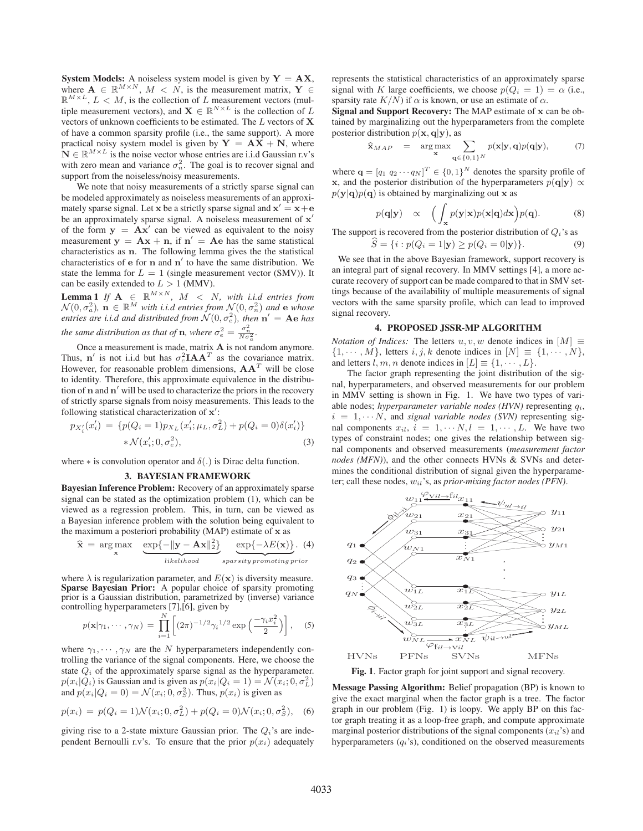**System Models:** A noiseless system model is given by  $Y = AX$ , where  $\mathbf{A} \in \mathbb{R}^{M \times N}$ ,  $M < N$ , is the measurement matrix,  $\mathbf{Y} \in$  $\mathbb{R}^{M \times L}$ ,  $L < M$ , is the collection of L measurement vectors (multiple measurement vectors), and **X**  $\in \mathbb{R}^{N \times L}$  is the collection of L vectors of unknown coefficients to be estimated. The L vectors of **X** of have a common sparsity profile (i.e., the same support). A more practical noisy system model is given by  $Y = AX + N$ , where  $N \in \mathbb{R}^{M \times L}$  is the noise vector whose entries are i.i.d Gaussian r.v's with zero mean and variance  $\sigma_n^2$ . The goal is to recover signal and support from the noiseless/noisy measurements.

We note that noisy measurements of a strictly sparse signal can be modeled approximately as noiseless measurements of an approximately sparse signal. Let **x** be a strictly sparse signal and  $\mathbf{x}' = \mathbf{x} + \mathbf{e}$ <br>be an approximately sparse signal. A poiseless measurement of  $\mathbf{x}'$ be an approximately sparse signal. A noiseless measurement of **x** of the form  $y = Ax'$  can be viewed as equivalent to the noisy<br>measurement  $y = Ax + n$  if  $n' = Ae$  has the same statistical measurement  $y = Ax + n$ , if  $n' = Ae$  has the same statistical<br>characteristics as **n**. The following lemma gives the the statistical characteristics as **n**. The following lemma gives the the statistical characteristics of  $e$  for  $n$  and  $n'$  to have the same distribution. We state the lemma for  $L = 1$  (single measurement vector (SMV)). It can be easily extended to  $L > 1$  (MMV).

**Lemma 1** *If*  $\mathbf{A} \in \mathbb{R}^{M \times N}$ ,  $M < N$ , with i.i.d entries from  $\mathcal{N}(0, \sigma_a^2)$ ,  $\mathbf{n} \in \mathbb{R}^M$  with i.i.d entries from  $\mathcal{N}(0, \sigma_n^2)$  and e whose<br>entries are i.i.d and distributed from  $\mathcal{N}(0, \sigma^2)$ , then  $\mathbf{n}' - \mathbf{A} \mathbf{e}$  has *entries are i.i.d and distributed from*  $\mathcal{N}(0, \sigma_e^2)$ , *then*  $\mathbf{n}' = \mathbf{Ae}$  *has the same distribution as that of* **n***, where*  $\sigma_e^2 = \frac{\sigma_n^2}{N\sigma_a^2}$ .

Once a measurement is made, matrix **A** is not random anymore. Thus, **n**<sup>'</sup> is not i.i.d but has  $\sigma_e^2 I A A^T$  as the covariance matrix. However, for reasonable problem dimensions,  $AA<sup>T</sup>$  will be close to identity. Therefore, this approximate equivalence in the distribution of **n** and **n**- will be used to characterize the priors in the recovery of strictly sparse signals from noisy measurements. This leads to the following statistical characterization of **x'**:

$$
p_{X'_i}(x'_i) = \{p(Q_i = 1)p_{X_L}(x'_i; \mu_L, \sigma_L^2) + p(Q_i = 0)\delta(x'_i)\} \times \mathcal{N}(x'_i; 0, \sigma_e^2),
$$
\n(3)

where  $*$  is convolution operator and  $\delta(.)$  is Dirac delta function.

#### 3. BAYESIAN FRAMEWORK

Bayesian Inference Problem: Recovery of an approximately sparse signal can be stated as the optimization problem (1), which can be viewed as a regression problem. This, in turn, can be viewed as a Bayesian inference problem with the solution being equivalent to the maximum a posteriori probability (MAP) estimate of **x** as

$$
\widehat{\mathbf{x}} = \arg \max_{\mathbf{x}} \underbrace{\exp\{-\|\mathbf{y} - \mathbf{A}\mathbf{x}\|_2^2\}}_{likelihood} \underbrace{\exp\{-\lambda E(\mathbf{x})\}}_{sparsity \, promoting \, prior} . \tag{4}
$$

where  $\lambda$  is regularization parameter, and  $E(\mathbf{x})$  is diversity measure. Sparse Bayesian Prior: A popular choice of sparsity promoting prior is a Gaussian distribution, parametrized by (inverse) variance controlling hyperparameters [7],[6], given by

$$
p(\mathbf{x}|\gamma_1,\cdots,\gamma_N) = \prod_{i=1}^N \left[ (2\pi)^{-1/2} \gamma_i^{1/2} \exp\left(\frac{-\gamma_i x_i^2}{2}\right) \right], \quad (5)
$$

where  $\gamma_1, \cdots, \gamma_N$  are the N hyperparameters independently controlling the variance of the signal components. Here, we choose the state  $Q_i$  of the approximately sparse signal as the hyperparameter.  $p(x_i|Q_i)$  is Gaussian and is given as  $p(x_i|Q_i = 1) = \mathcal{N}(x_i; 0, \sigma_L^2)$ <br>and  $p(x_i|Q_i = 0) = \mathcal{N}(x_i; 0, \sigma_L^2)$ . Thus,  $p(x_i)$  is given as and  $p(x_i|Q_i = 0) = \mathcal{N}(x_i; 0, \sigma_S^2)$ . Thus,  $p(x_i)$  is given as

$$
p(x_i) = p(Q_i = 1) \mathcal{N}(x_i; 0, \sigma_L^2) + p(Q_i = 0) \mathcal{N}(x_i; 0, \sigma_S^2), \quad (6)
$$

giving rise to a 2-state mixture Gaussian prior. The  $Q_i$ 's are independent Bernoulli r.v's. To ensure that the prior  $p(x_i)$  adequately represents the statistical characteristics of an approximately sparse signal with K large coefficients, we choose  $p(Q_i = 1) = \alpha$  (i.e., sparsity rate  $K/N$ ) if  $\alpha$  is known, or use an estimate of  $\alpha$ .

Signal and Support Recovery: The MAP estimate of **x** can be obtained by marginalizing out the hyperparameters from the complete posterior distribution  $p(\mathbf{x}, \mathbf{q}|\mathbf{y})$ , as

$$
\widehat{\mathbf{x}}_{MAP} = \underset{\mathbf{x}}{\arg \max} \sum_{\mathbf{q} \in \{0,1\}^N} p(\mathbf{x}|\mathbf{y}, \mathbf{q}) p(\mathbf{q}|\mathbf{y}), \quad (7)
$$

where  $\mathbf{q} = [q_1 \ q_2 \cdots q_N]^T \in \{0,1\}^N$  denotes the sparsity profile of  $\mathbf{x}$ , and the posterior distribution of the hyperparameters  $p(\mathbf{q}|\mathbf{x})$ ,  $\infty$ **x**, and the posterior distribution of the hyperparameters  $p(\mathbf{q}|\mathbf{y}) \propto$  $p(\mathbf{y}|\mathbf{q})p(\mathbf{q})$  is obtained by marginalizing out **x** as

$$
p(\mathbf{q}|\mathbf{y}) \propto \left( \int_{\mathbf{x}} p(\mathbf{y}|\mathbf{x}) p(\mathbf{x}|\mathbf{q}) d\mathbf{x} \right) p(\mathbf{q}).
$$
 (8)

The support is recovered from the posterior distribution of  $Q_i$ 's as

$$
\widehat{S} = \{i : p(Q_i = 1 | \mathbf{y}) \ge p(Q_i = 0 | \mathbf{y})\}.
$$
\nWe see that in the above Bayesian framework, support recovery is

an integral part of signal recovery. In MMV settings [4], a more accurate recovery of support can be made compared to that in SMV settings because of the availability of multiple measurements of signal vectors with the same sparsity profile, which can lead to improved signal recovery.

#### 4. PROPOSED JSSR-MP ALGORITHM

*Notation of Indices:* The letters  $u, v, w$  denote indices in  $[M] \equiv$  $\{1, \dots, M\}$ , letters  $i, j, k$  denote indices in  $[N] \equiv \{1, \dots, N\}$ , and letters  $l, m, n$  denote indices in  $[L] \equiv \{1, \dots, L\}.$ 

The factor graph representing the joint distribution of the signal, hyperparameters, and observed measurements for our problem in MMV setting is shown in Fig. 1. We have two types of variable nodes; *hyperparameter variable nodes (HVN)* representing  $q_i$ ,  $i = 1, \cdots N$ , and *signal variable nodes (SVN)* representing signal components  $x_{il}$ ,  $i = 1, \cdots, N, l = 1, \cdots, L$ . We have two types of constraint nodes; one gives the relationship between signal components and observed measurements (*measurement factor nodes (MFN)*), and the other connects HVNs & SVNs and determines the conditional distribution of signal given the hyperparameter; call these nodes, wil's, as *prior-mixing factor nodes (PFN)*.



Fig. 1. Factor graph for joint support and signal recovery.

Message Passing Algorithm: Belief propagation (BP) is known to give the exact marginal when the factor graph is a tree. The factor graph in our problem (Fig. 1) is loopy. We apply BP on this factor graph treating it as a loop-free graph, and compute approximate marginal posterior distributions of the signal components  $(x_{il})$  and hyperparameters  $(q_i)$ , conditioned on the observed measurements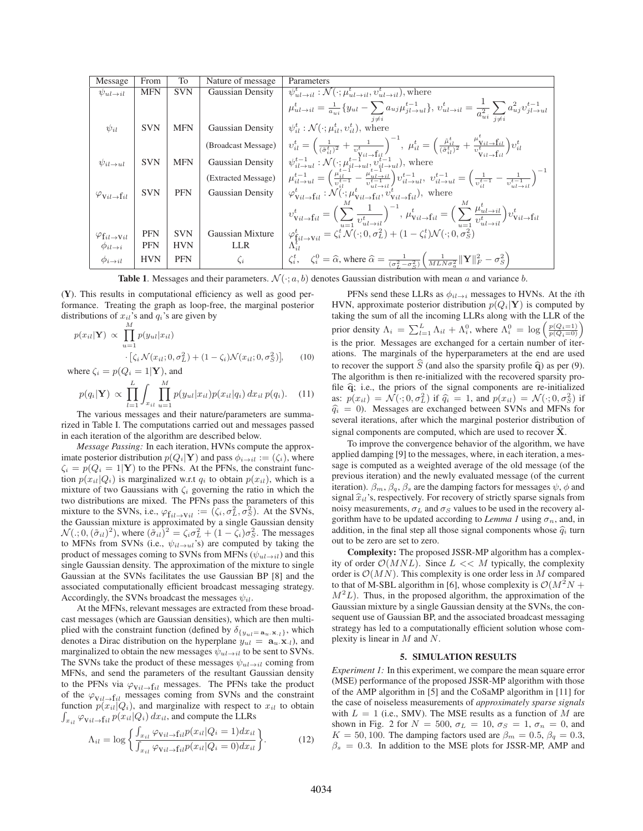| Message                                       | From       | To         | Nature of message.      | Parameters                                                                                                                                                                                                                                                                                                                                                                                                                            |
|-----------------------------------------------|------------|------------|-------------------------|---------------------------------------------------------------------------------------------------------------------------------------------------------------------------------------------------------------------------------------------------------------------------------------------------------------------------------------------------------------------------------------------------------------------------------------|
| $\psi_{ul\to il}$                             | <b>MFN</b> | <b>SVN</b> | <b>Gaussian Density</b> | $\psi_{ul\rightarrow il}^t : \mathcal{N}(\cdot; \mu_{ul\rightarrow il}^t, v_{ul\rightarrow il}^t)$ , where                                                                                                                                                                                                                                                                                                                            |
|                                               |            |            |                         | $\mu_{ul \to il}^t = \frac{1}{a_{ui}} \{ y_{ul} - \sum_{l,i} a_{uj} \mu_{jl \to ul}^{t-1} \}, \, v_{ul \to il}^t = \frac{1}{a_{ui}^2} \sum_{l,i} a_{uj}^2 v_{jl \to ul}^{t-1}$                                                                                                                                                                                                                                                        |
| $\psi_{il}$                                   | <b>SVN</b> | <b>MFN</b> | <b>Gaussian Density</b> | $\psi_{il}^t : \mathcal{N}(\cdot; \mu_{il}^t, v_{il}^t)$ , where                                                                                                                                                                                                                                                                                                                                                                      |
|                                               |            |            | (Broadcast Message)     | $\begin{array}{l} \mid \; \upsilon_{il}^{t}=\Big(\frac{1}{(\hat{\sigma}_{il}^{t})^{2}}+\frac{1}{\upsilon^{t}}\Big)^{-1},\;\mu_{il}^{t}=\Big(\frac{\tilde{\mu}_{il}^{t}}{(\hat{\sigma}_{il}^{t})^{2}}+\frac{\mu_{vil\rightarrow \text{f}_{il}}^{t}}{\upsilon^{t}}\Big)\upsilon_{il}^{t}\\ \psi_{il\rightarrow ul}^{t-1}: \mathcal{N}(\cdot;\mu_{il\rightarrow ul}^{t-1},\upsilon_{il\rightarrow ul}^{t})\text{, where} \end{array}$    |
| $\psi_{il \to ul}$                            | <b>SVN</b> | <b>MFN</b> | <b>Gaussian Density</b> |                                                                                                                                                                                                                                                                                                                                                                                                                                       |
|                                               |            |            | (Extracted Message)     | $\mu_{il \to ul}^{t-1} = \left( \frac{\mu_{il}^{t-1}}{\nu_{i,l}^{t-1}} - \frac{\mu_{ul \to il}^{t-1}}{\nu_{ul \to ul}^{t-1}} \right) v_{il \to ul}^{t-1}, \ v_{il \to ul}^{t-1} = \left( \frac{1}{\nu_{il}^{t-1}} - \frac{1}{\nu_{ul \to il}^{t-1}} \right)^{-1}$                                                                                                                                                                     |
| $\varphi_{\mathrm{V}il \to \mathrm{f}il}$     | <b>SVN</b> | <b>PFN</b> | <b>Gaussian Density</b> | $\varphi_{\mathbf{V}il \rightarrow \mathbf{f}il}^t : \mathcal{N}(\cdot; \mu_{\mathbf{V}il \rightarrow \mathbf{f}il}^t, v_{\mathbf{V}il \rightarrow \mathbf{f}il}^t),$ where                                                                                                                                                                                                                                                           |
|                                               |            |            |                         | $\begin{array}{l} {v_{\mathrm{vi} \to \mathrm{f}il}^t} = {\Big( {\sum\limits_{u = 1}^u {\frac{1}{{v_{ul}^t} - i}} } \Big)^{ - 1}},{\mu _{\mathrm{vi} \to \mathrm{f}il}^t} = {\Big( {\sum\limits_{u = 1}^M {\frac{{\mu _{ul \to il}^t}}{{v_{ul \to il}^t}}} } \Big)v_{\mathrm{vi} \to \mathrm{f}il}^t}\\ {\varphi _{\mathrm{f}il \to \mathrm{vi}l}^t} = \zeta _i^t{\mathcal{N}(\cdot;0,\sigma _L^2)} + \big( {1 - \zeta _i^t} \big){\$ |
| $\varphi_{\mathrm{f}_{il}\to\mathrm{V}_{il}}$ | <b>PFN</b> | <b>SVN</b> | Gaussian Mixture        |                                                                                                                                                                                                                                                                                                                                                                                                                                       |
| $\phi_{il\rightarrow i}$                      | <b>PFN</b> | <b>HVN</b> | LLR                     |                                                                                                                                                                                                                                                                                                                                                                                                                                       |
| $\phi_{i\rightarrow il}$                      | <b>HVN</b> | <b>PFN</b> | $\zeta_i$               | $\zeta_i^t$ , $\zeta_i^0 = \widehat{\alpha}$ , where $\widehat{\alpha} = \frac{1}{(\sigma_\tau^2 - \sigma_\infty^2)} \left( \frac{1}{MLN\sigma_\infty^2} \ \mathbf{Y}\ _F^2 - \sigma_S^2 \right)$                                                                                                                                                                                                                                     |

**Table 1.** Messages and their parameters.  $\mathcal{N}(\cdot; a, b)$  denotes Gaussian distribution with mean a and variance b.

(Y). This results in computational efficiency as well as good performance. Treating the graph as loop-free, the marginal posterior distributions of  $x_{il}$ 's and  $q_i$ 's are given by

$$
p(x_{il}|\mathbf{Y}) \propto \prod_{u=1}^{M} p(y_{ul}|x_{il})
$$
  
 
$$
\cdot [\zeta_i \mathcal{N}(x_{il}; 0, \sigma_L^2) + (1 - \zeta_i) \mathcal{N}(x_{il}; 0, \sigma_S^2)], \quad (10)
$$

where 
$$
\zeta_i = p(Q_i = 1 | \mathbf{Y})
$$
, and  
\n
$$
p(q_i | \mathbf{Y}) \propto \prod_{l=1}^{L} \int_{x_{il}} \prod_{\mathbf{v} \in \mathbf{Y}}^{M} p(y_{ul} | x_{il}) p(x_{il} | q_i) dx_{il} p(q_i).
$$
 (11)

 $\frac{1}{l-1}$   $\frac{1}{l}$   $\frac{1}{u-1}$ The various messages and their nature/parameters are summarized in Table I. The computations carried out and messages passed in each iteration of the algorithm are described below.

*Message Passing:* In each iteration, HVNs compute the approximate posterior distribution  $p(Q_i|\mathbf{Y})$  and pass  $\phi_{i\rightarrow i,l} := (\zeta_i)$ , where  $\zeta_i = p(Q_i = 1|\mathbf{Y})$  to the PFNs. At the PFNs, the constraint function  $p(x_{il}|Q_i)$  is marginalized w.r.t  $q_i$  to obtain  $p(x_{il})$ , which is a mixture of two Gaussians with  $\zeta_i$  governing the ratio in which the two distributions are mixed. The PFNs pass the parameters of this mixture to the SVNs, i.e.,  $\varphi_{\text{fi}\to \text{Vil}} := (\zeta_i, \sigma_L^2, \sigma_S^2)$ . At the SVNs, the Gaussian mixture is approximated by a single Gaussian density the Gaussian mixture is approximated by a single Gaussian density  $\mathcal{N}(:, 0, (\tilde{\sigma}_{il})^2)$ , where  $(\tilde{\sigma}_{il})^2 = \zeta_i \sigma_L^2 + (1 - \zeta_i) \sigma_S^2$ . The messages to MENs from SVNs (i.e.,  $\psi_{l_1}$ ,  $\zeta_{l_2}$ ) are computed by taking the to MFNs from SVNs (i.e.,  $\psi_{il \to ul}$ 's) are computed by taking the product of messages coming to SVNs from MFNs ( $\psi_{ul\rightarrow il}$ ) and this single Gaussian density. The approximation of the mixture to single Gaussian at the SVNs facilitates the use Gaussian BP [8] and the associated computationally efficient broadcast messaging strategy. Accordingly, the SVNs broadcast the messages  $\psi_{il}$ .

At the MFNs, relevant messages are extracted from these broadcast messages (which are Gaussian densities), which are then multiplied with the constraint function (defined by  $\delta_{\{y_{nl} = \mathbf{a}_u \cdot \mathbf{x}_n\}}$ , which denotes a Dirac distribution on the hyperplane  $y_{ul} = \mathbf{a}_u \cdot \mathbf{x}_l$ , and marginalized to obtain the new messages  $\psi_{ul\rightarrow il}$  to be sent to SVNs. The SVNs take the product of these messages  $\psi_{ul\rightarrow il}$  coming from MFNs, and send the parameters of the resultant Gaussian density to the PFNs via  $\varphi_{\mathrm{V}i\mathrm{l}\rightarrow\mathrm{f}i\mathrm{l}}$  messages. The PFNs take the product of the  $\varphi_{\mathrm{V}il\rightarrow \mathrm{f}il}$  messages coming from SVNs and the constraint function  $p(x_{il}|Q_i)$ , and marginalize with respect to  $x_{il}$  to obtain  $\int_{x_{il}} \varphi_{\text{V}il}\rightarrow \text{f}il p(x_{il}|Q_i) dx_{il}$ , and compute the LLRs

$$
\Lambda_{il} = \log \left\{ \frac{\int_{x_{il}} \varphi_{\text{Vil}\to\text{fi}} p(x_{il}|Q_i = 1) dx_{il}}{\int_{x_{il}} \varphi_{\text{Vil}\to\text{fi}} p(x_{il}|Q_i = 0) dx_{il}} \right\}.
$$
 (12)

PFNs send these LLRs as  $\phi_{il\rightarrow i}$  messages to HVNs. At the *i*th HVN, approximate posterior distribution  $p(Q_i|\mathbf{Y})$  is computed by taking the sum of all the incoming LLRs along with the LLR of the prior density  $\Lambda_i = \sum_{l=1}^L \Lambda_{il} + \Lambda_i^0$ , where  $\Lambda_i^0 = \log \left( \frac{p(Q_i=1)}{p(Q_i=0)} \right)$ is the prior. Messages are exchanged for a certain number of iterations. The marginals of the hyperparameters at the end are used to recover the support  $\tilde{S}$  (and also the sparsity profile  $\hat{q}$ ) as per (9). The algorithm is then re-initialized with the recovered sparsity profile **<sup>q</sup>**; i.e., the priors of the signal components are re-initialized as:  $p(x_{il}) = \mathcal{N}(\cdot; 0, \sigma_L^2)$  if  $\hat{q}_i = 1$ , and  $p(x_{il}) = \mathcal{N}(\cdot; 0, \sigma_S^2)$  if  $\hat{q}_i = 0$ . Messages are exchanged between SVNs and MENs for  $\hat{q}_i = 0$ ). Messages are exchanged between SVNs and MFNs for several iterations, after which the marginal posterior distribution of signal components are computed, which are used to recover **X** .

To improve the convergence behavior of the algorithm, we have applied damping [9] to the messages, where, in each iteration, a message is computed as a weighted average of the old message (of the previous iteration) and the newly evaluated message (of the current iteration).  $\beta_m$ ,  $\beta_q$ ,  $\beta_s$  are the damping factors for messages  $\psi$ ,  $\phi$  and signal  $\hat{x}_{il}$ 's, respectively. For recovery of strictly sparse signals from noisy measurements,  $\sigma_L$  and  $\sigma_S$  values to be used in the recovery algorithm have to be updated according to *Lemma 1* using  $\sigma_n$ , and, in addition, in the final step all those signal components whose  $\hat{q}_i$  turn out to be zero are set to zero.

Complexity: The proposed JSSR-MP algorithm has a complexity of order  $\mathcal{O}(MNL)$ . Since  $L \ll M$  typically, the complexity order is  $\mathcal{O}(MN)$ . This complexity is one order less in M compared to that of M-SBL algorithm in [6], whose complexity is  $\mathcal{O}(M^2N +$  $M<sup>2</sup>L$ ). Thus, in the proposed algorithm, the approximation of the Gaussian mixture by a single Gaussian density at the SVNs, the consequent use of Gaussian BP, and the associated broadcast messaging strategy has led to a computationally efficient solution whose complexity is linear in M and N.

# 5. SIMULATION RESULTS

*Experiment 1:* In this experiment, we compare the mean square error (MSE) performance of the proposed JSSR-MP algorithm with those of the AMP algorithm in [5] and the CoSaMP algorithm in [11] for the case of noiseless measurements of *approximately sparse signals* with  $L = 1$  (i.e., SMV). The MSE results as a function of M are shown in Fig. 2 for  $N = 500$ ,  $\sigma_L = 10$ ,  $\sigma_S = 1$ ,  $\sigma_n = 0$ , and  $K = 50, 100$ . The damping factors used are  $\beta_m = 0.5, \beta_q = 0.3$ ,  $\beta_s = 0.3$ . In addition to the MSE plots for JSSR-MP, AMP and